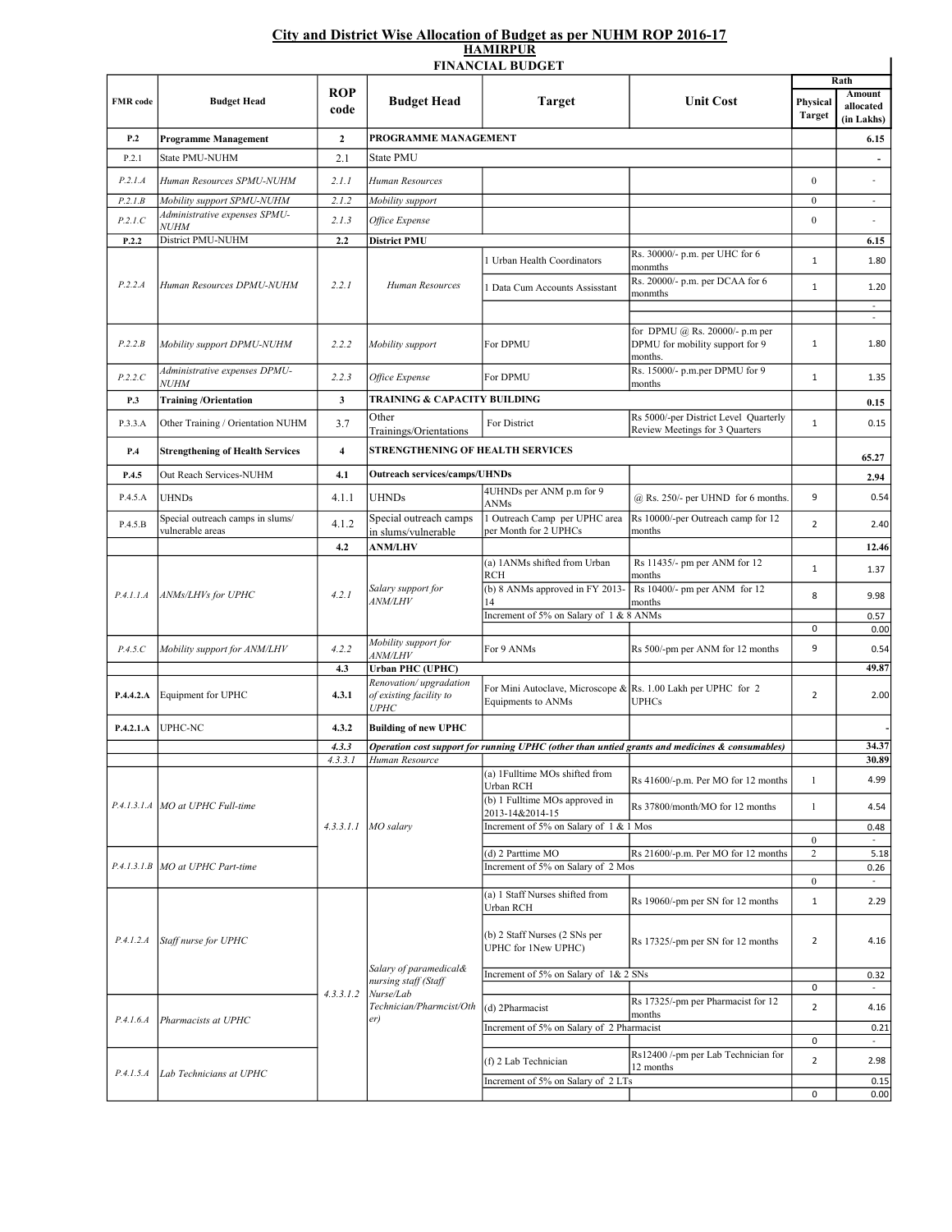## City and District Wise Allocation of Budget as per NUHM ROP 2016-17 HAMIRPUR

|                 |                                                                        |                         |                                                                                                | <b>FINANCIAL BUDGET</b>                                                             |                                                                                                          | Rath                               |                                          |
|-----------------|------------------------------------------------------------------------|-------------------------|------------------------------------------------------------------------------------------------|-------------------------------------------------------------------------------------|----------------------------------------------------------------------------------------------------------|------------------------------------|------------------------------------------|
| <b>FMR</b> code | <b>Budget Head</b>                                                     | <b>ROP</b><br>code      | <b>Budget Head</b>                                                                             | <b>Target</b>                                                                       | <b>Unit Cost</b>                                                                                         | Physical<br><b>Target</b>          | <b>Amount</b><br>allocated<br>(in Lakhs) |
| P.2             | <b>Programme Management</b>                                            | $\mathbf{2}$            | PROGRAMME MANAGEMENT                                                                           |                                                                                     |                                                                                                          |                                    | 6.15                                     |
| P.2.1           | State PMU-NUHM                                                         | 2.1                     | <b>State PMU</b>                                                                               |                                                                                     |                                                                                                          |                                    |                                          |
| P.2.1.A         | Human Resources SPMU-NUHM                                              | 2.1.1                   | Human Resources                                                                                |                                                                                     |                                                                                                          | $\overline{0}$                     | $\overline{a}$                           |
| P.2.I.B         | Mobility support SPMU-NUHM                                             | 2.1.2                   | Mobility support                                                                               |                                                                                     |                                                                                                          | $\boldsymbol{0}$                   | $\overline{\phantom{a}}$                 |
| P.2.1.C         | Administrative expenses SPMU-                                          | 2.1.3                   | Office Expense                                                                                 |                                                                                     |                                                                                                          | $\boldsymbol{0}$                   |                                          |
| P.2.2           | <b>NUHM</b><br>District PMU-NUHM                                       | 2.2                     | <b>District PMU</b>                                                                            |                                                                                     |                                                                                                          |                                    | 6.15                                     |
| P.2.2.A         | Human Resources DPMU-NUHM                                              | 2.2.1                   | Human Resources                                                                                | 1 Urban Health Coordinators                                                         | Rs. 30000/- p.m. per UHC for 6                                                                           | $\mathbf{1}$                       | 1.80                                     |
|                 |                                                                        |                         |                                                                                                | 1 Data Cum Accounts Assisstant                                                      | monmths<br>Rs. 20000/- p.m. per DCAA for 6<br>monmths                                                    | $\mathbf{1}$                       | 1.20                                     |
|                 |                                                                        |                         |                                                                                                |                                                                                     |                                                                                                          |                                    | $\omega$                                 |
| P.2.2.B         | Mobility support DPMU-NUHM                                             | 2.2.2                   | Mobility support                                                                               | For DPMU                                                                            | for DPMU @ Rs. 20000/- p.m per<br>DPMU for mobility support for 9<br>months.                             | $\mathbf{1}$                       | $\overline{\phantom{a}}$<br>1.80         |
| P.2.2.C         | Administrative expenses DPMU-                                          | 2.2.3                   | Office Expense                                                                                 | For DPMU                                                                            | Rs. 15000/- p.m.per DPMU for 9                                                                           | $\mathbf{1}$                       | 1.35                                     |
| P.3             | <i>NUHM</i><br><b>Training /Orientation</b>                            | $\mathbf{3}$            | <b>TRAINING &amp; CAPACITY BUILDING</b>                                                        |                                                                                     | months                                                                                                   |                                    |                                          |
|                 |                                                                        |                         | Other                                                                                          |                                                                                     | Rs 5000/-per District Level Quarterly                                                                    |                                    | 0.15                                     |
| P.3.3.A         | Other Training / Orientation NUHM                                      | 3.7                     | Trainings/Orientations                                                                         | For District                                                                        | Review Meetings for 3 Quarters                                                                           | $\mathbf{1}$                       | 0.15                                     |
| P.4             | <b>Strengthening of Health Services</b>                                | $\overline{\mathbf{4}}$ |                                                                                                | <b>STRENGTHENING OF HEALTH SERVICES</b>                                             |                                                                                                          |                                    |                                          |
| P.4.5           | Out Reach Services-NUHM                                                | 4.1                     | <b>Outreach services/camps/UHNDs</b>                                                           |                                                                                     |                                                                                                          |                                    | 65.27<br>2.94                            |
| P.4.5.A         | <b>UHNDs</b>                                                           | 4.1.1                   | <b>UHNDs</b>                                                                                   | 4UHNDs per ANM p.m for 9<br><b>ANMs</b>                                             | @ Rs. 250/- per UHND for 6 months.                                                                       | 9                                  | 0.54                                     |
| P.4.5.B         | Special outreach camps in slums/<br>vulnerable areas                   | 4.1.2                   | Special outreach camps<br>in slums/vulnerable                                                  | 1 Outreach Camp per UPHC area<br>per Month for 2 UPHCs                              | Rs 10000/-per Outreach camp for 12<br>months                                                             | $\overline{2}$                     | 2.40                                     |
|                 |                                                                        | 4.2                     | <b>ANM/LHV</b>                                                                                 |                                                                                     |                                                                                                          |                                    | 12.46                                    |
| P.4.1.1.4       | ANMs/LHVs for UPHC                                                     | 4.2.1                   | Salary support for<br><i>ANM/LHV</i>                                                           | (a) 1ANMs shifted from Urban<br><b>RCH</b>                                          | Rs 11435/- pm per ANM for 12<br>months                                                                   | $\mathbf{1}$                       | 1.37                                     |
|                 |                                                                        |                         |                                                                                                | (b) 8 ANMs approved in FY 2013-                                                     | Rs 10400/- pm per ANM for 12<br>months                                                                   | 8                                  | 9.98                                     |
|                 |                                                                        |                         |                                                                                                | Increment of 5% on Salary of 1 & 8 ANMs                                             |                                                                                                          | 0                                  | 0.57<br>0.00                             |
| P.4.5.C         | Mobility support for ANM/LHV                                           | 4.2.2                   | Mobility support for<br><i>ANM/LHV</i>                                                         | For 9 ANMs                                                                          | Rs 500/-pm per ANM for 12 months                                                                         | 9                                  | 0.54                                     |
|                 |                                                                        | 4.3                     | <b>Urban PHC (UPHC)</b><br>Renovation/upgradation                                              |                                                                                     |                                                                                                          |                                    | 49.87                                    |
| P.4.4.2.A       | Equipment for UPHC                                                     | 4.3.1                   | of existing facility to<br>UPHC                                                                | For Mini Autoclave, Microscope & Rs. 1.00 Lakh per UPHC for 2<br>Equipments to ANMs | <b>UPHCs</b>                                                                                             | 2                                  | 2.00                                     |
| P.4.2.1.A       | <b>UPHC-NC</b>                                                         | 4.3.2                   | <b>Building of new UPHC</b>                                                                    |                                                                                     |                                                                                                          |                                    |                                          |
|                 |                                                                        | 4.3.3                   |                                                                                                |                                                                                     | <b>Operation cost support for running UPHC</b> (other than untied grants and medicines $\&$ consumables) |                                    | 34.37                                    |
|                 |                                                                        | 4.3.3.1                 | Human Resource                                                                                 | (a) 1 Fulltime MOs shifted from                                                     |                                                                                                          |                                    | 30.89                                    |
|                 | P.4.1.3.1.A   MO at UPHC Full-time<br>P.4.1.3.1.B MO at UPHC Part-time | 4.3.3.1.1               | MO salary                                                                                      | Urban RCH<br>(b) 1 Fulltime MOs approved in                                         | Rs 41600/-p.m. Per MO for 12 months                                                                      | $\mathbf{1}$                       | 4.99                                     |
|                 |                                                                        |                         |                                                                                                | 2013-14&2014-15                                                                     | Rs 37800/month/MO for 12 months                                                                          | $\mathbf{1}$                       | 4.54                                     |
|                 |                                                                        |                         |                                                                                                | Increment of 5% on Salary of 1 & 1 Mos                                              |                                                                                                          |                                    | 0.48                                     |
|                 |                                                                        |                         |                                                                                                | (d) 2 Parttime MO                                                                   | Rs 21600/-p.m. Per MO for 12 months                                                                      | $\boldsymbol{0}$<br>$\overline{c}$ | $\sim$<br>5.18                           |
|                 |                                                                        |                         |                                                                                                | Increment of 5% on Salary of 2 Mos                                                  |                                                                                                          |                                    | 0.26                                     |
| P.4.1.2.A       | Staff nurse for UPHC                                                   | 4.3.3.1.2               | Salary of paramedical&<br>nursing staff (Staff<br>Nurse/Lab<br>Technician/Pharmcist/Oth<br>er) | (a) 1 Staff Nurses shifted from<br>Urban RCH                                        | Rs 19060/-pm per SN for 12 months                                                                        | $\mathbf{0}$<br>1                  | $\sim$<br>2.29                           |
|                 |                                                                        |                         |                                                                                                | (b) 2 Staff Nurses (2 SNs per<br>UPHC for 1New UPHC)                                | Rs 17325/-pm per SN for 12 months                                                                        | $\overline{2}$                     | 4.16                                     |
|                 |                                                                        |                         |                                                                                                | Increment of 5% on Salary of 1& 2 SNs                                               |                                                                                                          |                                    | 0.32                                     |
|                 |                                                                        |                         |                                                                                                |                                                                                     | Rs 17325/-pm per Pharmacist for 12                                                                       | 0                                  |                                          |
| P.4.1.6.A       | Pharmacists at UPHC                                                    |                         |                                                                                                | (d) 2Pharmacist                                                                     | months                                                                                                   | $\overline{2}$                     | 4.16                                     |
|                 |                                                                        |                         |                                                                                                | Increment of 5% on Salary of 2 Pharmacist                                           |                                                                                                          | 0                                  | 0.21<br>$\overline{\phantom{a}}$         |
|                 |                                                                        |                         |                                                                                                | (f) 2 Lab Technician                                                                | Rs12400 /-pm per Lab Technician for                                                                      | $\overline{2}$                     | 2.98                                     |
| P.4.1.5.4       | Lab Technicians at UPHC                                                |                         |                                                                                                | Increment of 5% on Salary of 2 LTs                                                  | 12 months                                                                                                |                                    |                                          |
|                 |                                                                        |                         |                                                                                                |                                                                                     |                                                                                                          | 0                                  | 0.15<br>0.00                             |